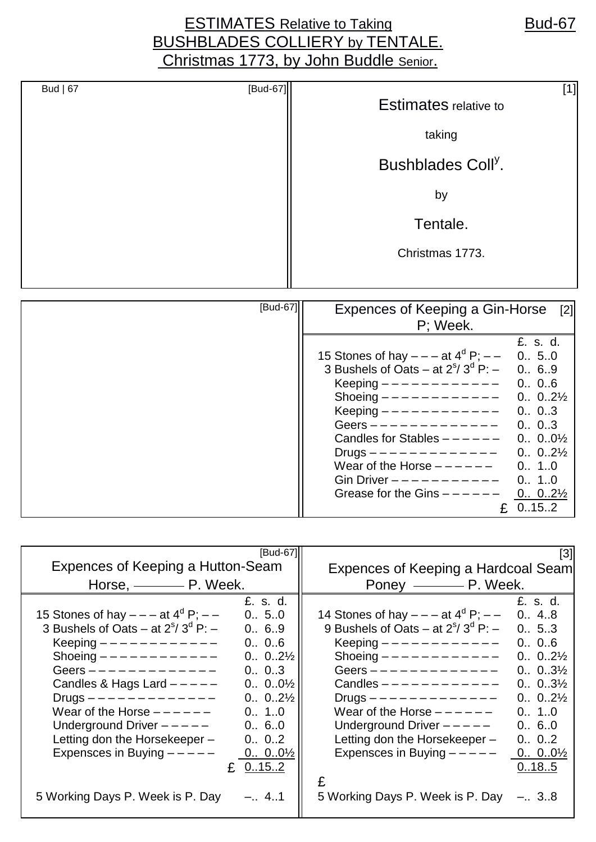## ESTIMATES Relative to Taking **Bud-67** BUSHBLADES COLLIERY by TENTALE. Christmas 1773, by John Buddle Senior.

| Bud $ 67$ | [Bud-67] | $[1] % \includegraphics[width=\textwidth]{images/TransY.pdf} \caption{The figure shows the results of the estimators in the image.} \label{fig:class}$<br><b>Estimates relative to</b> |
|-----------|----------|----------------------------------------------------------------------------------------------------------------------------------------------------------------------------------------|
|           |          | taking                                                                                                                                                                                 |
|           |          | Bushblades Coll <sup>y</sup> .                                                                                                                                                         |
|           |          | by                                                                                                                                                                                     |
|           |          | Tentale.                                                                                                                                                                               |
|           |          | Christmas 1773.                                                                                                                                                                        |
|           |          |                                                                                                                                                                                        |

| [Bud-67] | Expences of Keeping a Gin-Horse                   | [2]                |
|----------|---------------------------------------------------|--------------------|
|          |                                                   |                    |
|          | P; Week.                                          |                    |
|          |                                                   | £. s. d.           |
|          | 15 Stones of hay $- - -$ at $4^{d} P$ ; $- -$     | 0.65.0             |
|          | 3 Bushels of Oats – at $2^{\circ}/3^{\circ}$ P: – | 0., 6.9            |
|          | Keeping $-$                                       | 0.0.6              |
|          | Shoeing $------------$                            | $0 02\frac{1}{2}$  |
|          | Keeping $------------$                            | 0 03               |
|          | Geers $------------$                              | 0., 0., 3          |
|          | Candles for Stables $---$ - - -                   | $0 00\frac{1}{2}$  |
|          | Drugs $- - - - - - - - - -$                       | $0 02\frac{1}{2}$  |
|          | Wear of the Horse $---$ - $---$                   | 0.01.0             |
|          | Gin Driver $-- ---$                               | 0., 1.,0           |
|          | Grease for the Gins $---$                         | $0.0.2\frac{1}{2}$ |
|          |                                                   | 0.15.2             |

|                                                   | [Bud-67]             |                                                   | [3]               |
|---------------------------------------------------|----------------------|---------------------------------------------------|-------------------|
| Expences of Keeping a Hutton-Seam                 |                      | Expences of Keeping a Hardcoal Seam               |                   |
| Horse, $\_\_\_\_\_\_\$ P. Week.                   |                      |                                                   |                   |
|                                                   | £, s, d,             |                                                   | £. s. d.          |
| 15 Stones of hay $- -$ at $4^d$ P; $-$            | 0., 5., 0            | 14 Stones of hay $---$ at $4^{\circ}$ P; $---$    | 0 48              |
| 3 Bushels of Oats – at $2^{\circ}/3^{\circ}$ P: – | 0., 6.9              | 9 Bushels of Oats – at $2^{\circ}/3^{\circ}$ P: – | 0.65.3            |
| Keeping $------------$                            | 0., 0.,6             | Keeping $------------$                            | 0., 0., 6         |
| Shoeing $------------$                            | $0 02\frac{1}{2}$    | Shoeing $------------$                            | $0 02\frac{1}{2}$ |
| Geers $------------$                              | 0 03                 | Geers $------------$                              | $0 03\frac{1}{2}$ |
| Candles & Hags Lard $---$                         | $0., 0.0\frac{1}{2}$ | Candles $------------$                            | $0 03\frac{1}{2}$ |
| Drugs $------------$                              | $0 02\frac{1}{2}$    | $Drugs$ - - - - - - - - - - - - -                 | $0 02\frac{1}{2}$ |
| Wear of the Horse $-- ---$                        | 0., 1.,0             | Wear of the Horse $-- ---$                        | 0., 1.0           |
| Underground Driver $---$                          | 0.6.0                | Underground Driver $---$                          | 0 60              |
| Letting don the Horsekeeper -                     | 0 02                 | Letting don the Horsekeeper -                     | 0 02              |
| Expensces in Buying $---$                         | 0.001/2              | Expensces in Buying $---$                         | $0 00\frac{1}{2}$ |
|                                                   | £ $0.15.2$           |                                                   | 0.18.5            |
|                                                   |                      | £                                                 |                   |
| 5 Working Days P. Week is P. Day                  | $-.4.1$              | 5 Working Days P. Week is P. Day                  | $-.38$            |
|                                                   |                      |                                                   |                   |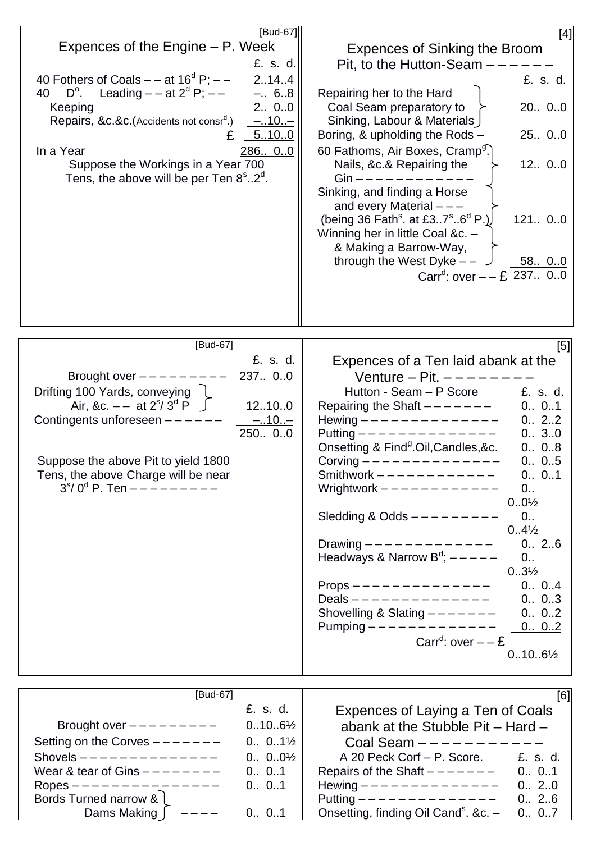| [Bud-67]<br>Expences of the Engine – P. Week<br>£. s. d.<br>40 Fothers of Coals $-$ – at 16 <sup>d</sup> P; $-$<br>2.14.4<br>$D^{\circ}$ . Leading $-$ at $2^{d}$ P; $-$<br>$-.6.8$<br>40<br>2 00<br>Keeping<br>5.10.0<br>286 00<br>In a Year<br>Suppose the Workings in a Year 700<br>Tens, the above will be per Ten $8^\circ$ 2 <sup>°</sup> . | [4]<br><b>Expences of Sinking the Broom</b><br>Pit, to the Hutton-Seam -<br>£. s. d.<br>Repairing her to the Hard<br>Coal Seam preparatory to<br>20 00<br>Sinking, Labour & Materials<br>Boring, & upholding the Rods -<br>25 0.0<br>60 Fathoms, Air Boxes, Cramp <sup>g</sup> .<br>Nails, &c.& Repairing the<br>12 00<br>$G$ in —————————<br>Sinking, and finding a Horse<br>and every Material $---$<br>(being 36 Fath <sup>s</sup> . at £37 <sup>s</sup> 6 <sup>d</sup> P.)<br>121 00<br>Winning her in little Coal &c. -<br>& Making a Barrow-Way,<br>through the West Dyke $-$ -<br>58 00<br>ر ِ<br>Carr <sup>d</sup> : over $- - 2$ 237 00                                                                                                                          |
|---------------------------------------------------------------------------------------------------------------------------------------------------------------------------------------------------------------------------------------------------------------------------------------------------------------------------------------------------|---------------------------------------------------------------------------------------------------------------------------------------------------------------------------------------------------------------------------------------------------------------------------------------------------------------------------------------------------------------------------------------------------------------------------------------------------------------------------------------------------------------------------------------------------------------------------------------------------------------------------------------------------------------------------------------------------------------------------------------------------------------------------|
| [Bud-67]<br>£. s. d.<br>Brought over $---$ - - - -<br>237 00<br>Drifting 100 Yards, conveying<br>Air, &c. $-$ at $2^s / 3^d$ $\overrightarrow{P}$<br>12.10.0<br>Contingents unforeseen $---$<br>$-.10--$<br>250 00<br>Suppose the above Pit to yield 1800<br>Tens, the above Charge will be near<br>$3s/ 0d$ P. Ten $------$                      | [5]<br>Expences of a Ten laid abank at the<br>Venture - Pit. $---$<br>Hutton - Seam - P Score<br>£. s. d.<br>0 01<br>Repairing the Shaft $------$<br>Hewing -------------<br>0 22<br>Putting --------------<br>0 30<br>Onsetting & Find <sup>g</sup> .Oil, Candles, &c.<br>0 08<br>Corving $------$<br>0 05<br>Smithwork $------------$<br>0 01<br>Wrightwork $------------$<br>0.<br>$0.0\frac{1}{2}$<br>Sledding & Odds $---------$<br>0 <sub>1</sub><br>$0.4\frac{1}{2}$<br>Drawing $------------$<br>0.2.6<br>Headways & Narrow $B^d$ ; $---$<br>$0$<br>$0.3\frac{1}{2}$<br>$Props$ --------------<br>0 04<br>Deals ——————————————<br>0 03<br>Shovelling & Slating $------$<br>0 02<br>Pumping $------------$ 0 0.2<br>Carr <sup>d</sup> : over $- - E$<br>$0.10.6\%$ |
| [Bud-67]<br>£. s. d.<br>$0.10.6\frac{1}{2}$<br>Brought over $------$<br>$0 01\frac{1}{2}$<br>Setting on the Corves $------$<br>Shovels $---------------$<br>$0 00\frac{1}{2}$<br>Wear & tear of Gins $------$<br>0 01<br>Ropes ---------------<br>0 01<br>Bords Turned narrow & 1<br>Dams Making $\int$ $---$<br>0 01                             | [6]<br>Expences of Laying a Ten of Coals<br>abank at the Stubble Pit - Hard -<br>Coal Seam $------$<br>A 20 Peck Corf - P. Score. £. s. d.<br>Repairs of the Shaft $------$ 0 01<br>Hewing $------------ 0.2.0$<br>Putting -------------<br>0 26<br>Onsetting, finding Oil Cand <sup>s</sup> . &c. -<br>0 07                                                                                                                                                                                                                                                                                                                                                                                                                                                              |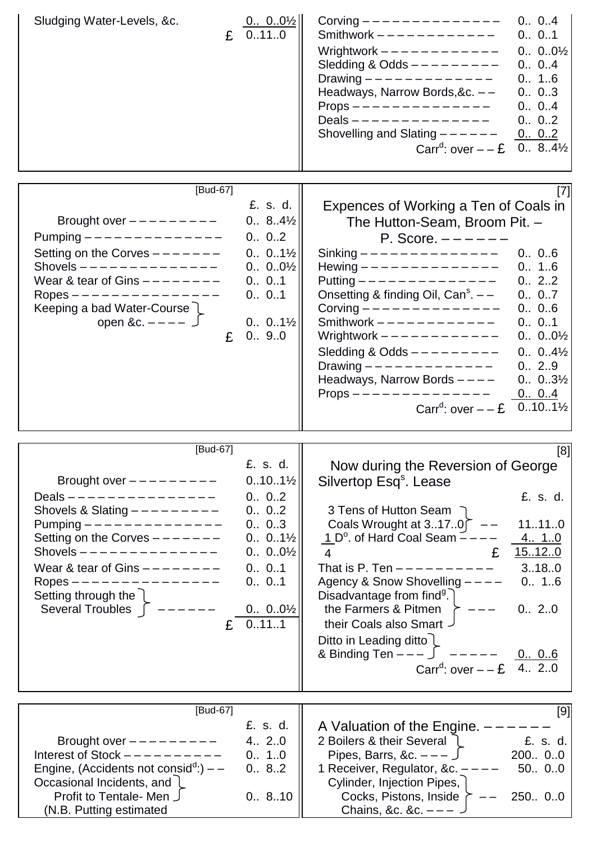| Sludging Water-Levels, &c.<br>$\mathbf{E} \left[ \begin{array}{c} 0 00\frac{1}{2} \\ 0110 \end{array} \right]$                                                                                                                                                                                                                                    | Corving $- - - - - - - - - - - - -$<br>0 04<br>Smithwork $------------$<br>0 01<br>Wrightwork $------------$<br>0.001/2<br>Sledding & Odds $---------$<br>0 04<br>Drawing $- - - - - - - - - - - -$<br>0 16<br>Headways, Narrow Bords, &c. --<br>0 03<br>$Props$ — — — — — — — — — — — — — —<br>0 04<br>Deals --------------<br>0 02<br>Shovelling and Slating $---$ - - - - -<br>0 02<br>Carr <sup>d</sup> : over $- - 2$ 0 8.4 <sup>1/2</sup>                                                                                                                                                                                                                                                                                                                                                                                                                                                                        |
|---------------------------------------------------------------------------------------------------------------------------------------------------------------------------------------------------------------------------------------------------------------------------------------------------------------------------------------------------|------------------------------------------------------------------------------------------------------------------------------------------------------------------------------------------------------------------------------------------------------------------------------------------------------------------------------------------------------------------------------------------------------------------------------------------------------------------------------------------------------------------------------------------------------------------------------------------------------------------------------------------------------------------------------------------------------------------------------------------------------------------------------------------------------------------------------------------------------------------------------------------------------------------------|
| [Bud-67]<br>Brought over $------$<br>Pumping $- - - - - - - - - - - - -$<br>Setting on the Corves $------$<br>Shovels $---------------$<br>Wear & tear of Gins $------$<br>Ropes ---------------<br>Keeping a bad Water-Course<br>open &c. $-- \int$<br>£                                                                                         | [7]<br>£. s. d.<br>Expences of Working a Ten of Coals in<br>$0 84\frac{1}{2}$<br>The Hutton-Seam, Broom Pit. -<br>0 02<br>P. Score. $---$<br>$0 01\frac{1}{2}$<br>Sinking -------------<br>0., 0.,6<br>Hewing $---------------$<br>$0 00\frac{1}{2}$<br>0 16<br>Putting -------------<br>0 01<br>0., 2.,2<br>Onsetting & finding Oil, $Cans - -$<br>0 01<br>0 07<br>Corving $- - - - - - - - - - - - -$<br>0 06<br>Smithwork $------------$<br>$0 01\frac{1}{2}$<br>0 01<br>Wrightwork $------------$<br>0.9.0<br>$0 00\frac{1}{2}$<br>Sledding & Odds $---------$<br>$0.04\frac{1}{2}$<br>Drawing $- - - - - - - - - - - -$<br>0 29                                                                                                                                                                                                                                                                                   |
| [Bud-67]<br>Brought over $------$<br>Deals --------------<br>Shovels & Slating $---------$<br>Pumping $- - - - - - - - - - - - -$<br>Setting on the Corves $------$<br>Shovels $------------$<br>Wear & tear of Gins $------$<br>0 01<br>Ropes --------------<br>Setting through the 1<br>Several Troubles $\int$ $---$ - - - - -<br>$E = 0.11.1$ | Headways, Narrow Bords $---$<br>$0.03\frac{1}{2}$<br>$Props$ -------------<br>0 04<br>Carr <sup>d</sup> : over $- -E$ 0101 <sup>1</sup> / <sub>2</sub><br>[8]<br>£. s. d.  <br>Now during the Reversion of George<br>$0.10.1\frac{1}{2}$<br>Silvertop Esq <sup>s</sup> . Lease<br>0 02<br>£. s. d.<br>0 02<br>3 Tens of Hutton Seam ⊃<br>0 03<br>Coals Wrought at 3170 $\bar{C}$ -<br>11110<br>$1\,\mathrm{D}^{\circ}$ . of Hard Coal Seam $\sim$ - - -<br>$0.0.1\frac{1}{2}$<br>4. 1.0<br>15120<br>$0 00\frac{1}{2}$<br>£<br>$\overline{4}$<br>That is P. Ten $--------$ 3180<br>Agency & Snow Shovelling ----<br>0 01<br>0 16<br>Disadvantage from find <sup>9</sup> .<br>$0 00\frac{1}{2}$<br>the Farmers & Pitmen $\geq - -$<br>0 20<br>their Coals also Smart $\overline{\phantom{a}}$<br>Ditto in Leading ditto $\lfloor$<br>& Binding Ten $- -  \int$ $- - - - -$ 0 06<br>Carr <sup>d</sup> : over $- - 2$ 4 20 |
| [Bud-67]<br>Brought over $------$<br>Interest of Stock $---------$<br>Engine, (Accidents not consid <sup>d</sup> :) $-$<br>Occasional Incidents, and L<br>Profit to Tentale- Men J<br>(N.B. Putting estimated                                                                                                                                     | [9]<br>£. s. d.<br>A Valuation of the Engine. $---$<br>2 Boilers & their Several 1 E. s. d.<br>4 20<br>Pipes, Barrs, &c. $---$ 5 200 00<br>0 10<br>0 82<br>1 Receiver, Regulator, &c. $---$<br>50 00<br>Cylinder, Injection Pipes,  <br>Cocks, Pistons, Inside $\rightarrow$ -- 250 00<br>0.8.10<br>Chains, &c. &c. $---$                                                                                                                                                                                                                                                                                                                                                                                                                                                                                                                                                                                              |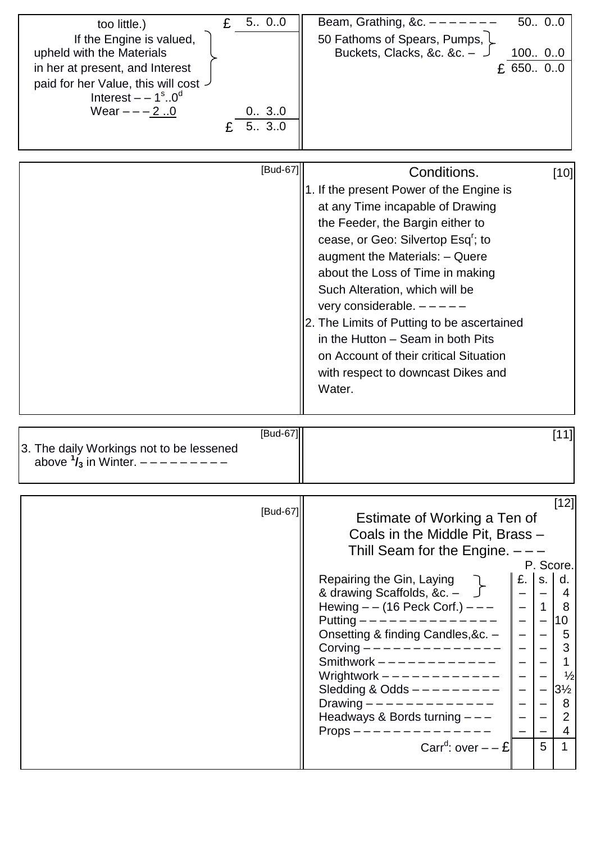| E<br>too little.)                                            | 5 00     | 50 00<br>Beam, Grathing, &c. $-$ -                      |                                                                  |
|--------------------------------------------------------------|----------|---------------------------------------------------------|------------------------------------------------------------------|
| If the Engine is valued,                                     |          | 50 Fathoms of Spears, Pumps, L                          |                                                                  |
| upheld with the Materials                                    |          | 100 00<br>Buckets, Clacks, &c. &c. -                    |                                                                  |
| in her at present, and Interest                              |          | $£$ 650 00                                              |                                                                  |
| paid for her Value, this will cost -                         |          |                                                         |                                                                  |
| Interest $- -1$ <sup>s</sup> 0 <sup>d</sup><br>Wear $---2.0$ | 0 30     |                                                         |                                                                  |
|                                                              | 5 30     |                                                         |                                                                  |
|                                                              |          |                                                         |                                                                  |
|                                                              |          |                                                         |                                                                  |
|                                                              | [Bud-67] | Conditions.                                             | $[10]$                                                           |
|                                                              |          | 1. If the present Power of the Engine is                |                                                                  |
|                                                              |          | at any Time incapable of Drawing                        |                                                                  |
|                                                              |          | the Feeder, the Bargin either to                        |                                                                  |
|                                                              |          | cease, or Geo: Silvertop Esq <sup>r</sup> ; to          |                                                                  |
|                                                              |          | augment the Materials: - Quere                          |                                                                  |
|                                                              |          | about the Loss of Time in making                        |                                                                  |
|                                                              |          | Such Alteration, which will be                          |                                                                  |
|                                                              |          | very considerable. -                                    |                                                                  |
|                                                              |          | 2. The Limits of Putting to be ascertained              |                                                                  |
|                                                              |          | in the Hutton - Seam in both Pits                       |                                                                  |
|                                                              |          | on Account of their critical Situation                  |                                                                  |
|                                                              |          | with respect to downcast Dikes and                      |                                                                  |
|                                                              |          | Water.                                                  |                                                                  |
|                                                              |          |                                                         |                                                                  |
|                                                              | [Bud-67] |                                                         | $[11]$                                                           |
| 3. The daily Workings not to be lessened                     |          |                                                         |                                                                  |
| above $\frac{1}{3}$ in Winter. $---$                         |          |                                                         |                                                                  |
|                                                              |          |                                                         |                                                                  |
|                                                              | [Bud-67] |                                                         | $[12]$                                                           |
|                                                              |          | Estimate of Working a Ten of                            |                                                                  |
|                                                              |          | Coals in the Middle Pit, Brass -                        |                                                                  |
|                                                              |          | Thill Seam for the Engine. $---$                        |                                                                  |
|                                                              |          | £. I<br>Repairing the Gin, Laying                       | P. Score.<br>d.<br>S.                                            |
|                                                              |          | & drawing Scaffolds, &c. $ \sqrt{\phantom{a}}$          | $\overline{4}$                                                   |
|                                                              |          | Hewing $- -$ (16 Peck Corf.) $- - -$                    | 1 <sup>1</sup><br>- 8                                            |
|                                                              |          | Putting ——————————————                                  | $\begin{bmatrix} -10 \\ -15 \end{bmatrix}$                       |
|                                                              |          | Onsetting & finding Candles, &c. -                      | -5                                                               |
|                                                              |          | Corving $------------$<br>Smithwork -----------         | $\begin{bmatrix} - & 3 \\ - & 1 \end{bmatrix}$<br>3 <sup>3</sup> |
|                                                              |          | $\frac{1}{2}$<br>Wrightwork $--------- - -$             | $\frac{1}{2}$                                                    |
|                                                              |          | $\overline{\phantom{a}}$<br>Sledding & Odds $---------$ | $3\frac{1}{2}$                                                   |
|                                                              |          | Drawing ------------                                    | 8                                                                |
|                                                              |          | Headways & Bords turning $---$<br>$Props$ ------------  | $\overline{2}$<br>4                                              |
|                                                              |          | Carr <sup>d</sup> : over $- - E$<br>5                   | 1                                                                |
|                                                              |          |                                                         |                                                                  |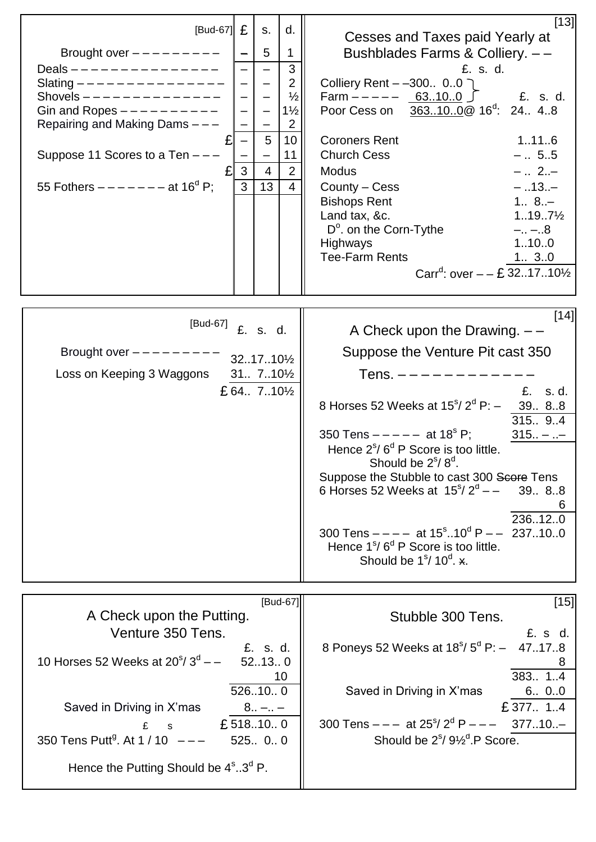| £<br>$[Bud-67]$<br>d.<br>S.<br>Brought over $------$<br>5<br>1<br>Deals ---------------<br>3<br>$\overline{2}$<br>Slating --------------<br>Shovels $---------------$<br>Gin and Ropes $---------$<br>$1\frac{1}{2}$<br>Repairing and Making Dams ---<br>$\overline{2}$<br>5<br>10<br>$\overline{\phantom{0}}$<br>Suppose 11 Scores to a Ten $---$<br>11<br>$\overline{\phantom{0}}$<br>$\overline{2}$<br>3<br>$\overline{4}$<br>55 Fothers $-----$ at 16 <sup>d</sup> P;<br>3<br>13<br>$\overline{4}$ | $[13]$<br>Cesses and Taxes paid Yearly at<br>Bushblades Farms & Colliery. --<br>£. s. d.<br>Colliery Rent – –300 00 )<br>$\frac{1}{2}$<br>Farm $--- 63100$<br>£. s. d.<br>Poor Cess on 363100 @ 16 <sup>d</sup> : 24 48<br><b>Coroners Rent</b><br>1.11.6<br><b>Church Cess</b><br>$- 55$<br>$- 2. -$<br><b>Modus</b><br>$-.13. -$<br>County - Cess<br>$1 8. -$<br><b>Bishops Rent</b><br>Land tax, &c.<br>$1197\frac{1}{2}$<br>$D^{\circ}$ . on the Corn-Tythe<br>$-. - .8$<br>1100<br>Highways<br><b>Tee-Farm Rents</b><br>1 30<br>Carr <sup>d</sup> : over $- - 232.17.10\%$                                                    |
|--------------------------------------------------------------------------------------------------------------------------------------------------------------------------------------------------------------------------------------------------------------------------------------------------------------------------------------------------------------------------------------------------------------------------------------------------------------------------------------------------------|------------------------------------------------------------------------------------------------------------------------------------------------------------------------------------------------------------------------------------------------------------------------------------------------------------------------------------------------------------------------------------------------------------------------------------------------------------------------------------------------------------------------------------------------------------------------------------------------------------------------------------|
| [Bud-67]<br>£. s. d.<br>Brought over $------$<br>3217101/2<br>$31 710\frac{1}{2}$<br>Loss on Keeping 3 Waggons<br>£ 64 7101/2                                                                                                                                                                                                                                                                                                                                                                          | [14]<br>A Check upon the Drawing. $-$ -<br>Suppose the Venture Pit cast 350<br>$Tens.$ $-- ---$<br>£.<br>s. d.<br>8 Horses 52 Weeks at $15^{\circ}/2^{\circ}$ P: $-$<br>39 88<br>315. 9.4<br>350 Tens $--- -$ at 18 <sup>s</sup> P;<br>$315 - $<br>Hence $2^{\circ}/6^{\circ}$ P Score is too little.<br>Should be $2^{\text{s}}$ /8 $^{\text{d}}$ .<br>Suppose the Stubble to cast 300 Score Tens<br>6 Horses 52 Weeks at $15^{\circ}/2^{\circ}$ - -<br>39 88<br>236120<br>300 Tens $---$ at $15^{\circ}$ 10 <sup>d</sup> P $---$ 237100<br>Hence $1^{\circ}/6^{\circ}$ P Score is too little.<br>Should be $1s/10d$ . $\times$ . |
| [Bud-67]<br>A Check upon the Putting.<br>Venture 350 Tens.<br>£. s. d.<br>10 Horses 52 Weeks at $20^{s}/3^{d}$ – –<br>52130<br>10<br>526100<br>Saved in Driving in X'mas<br>$8 -  -$<br>£518.10.0<br>$E$ s<br>350 Tens Putt <sup>9</sup> . At 1 / 10 $-$ - -<br>525 0 0<br>Hence the Putting Should be $4^{\circ}$ 3 <sup>d</sup> P.                                                                                                                                                                   | $[15]$<br>Stubble 300 Tens.<br>£. s d.<br>8 Poneys 52 Weeks at $18s/5d$ P: $-$<br>47.17.8<br>383 1.4<br>Saved in Driving in X'mas<br>6 00<br>£377 14<br>300 Tens $---$ at $25^{\circ}/2^{\circ}P---$ 37710<br>Should be 2 <sup>s</sup> / 9 <sup>1/2</sup> <sup>d</sup> .P Score.                                                                                                                                                                                                                                                                                                                                                   |